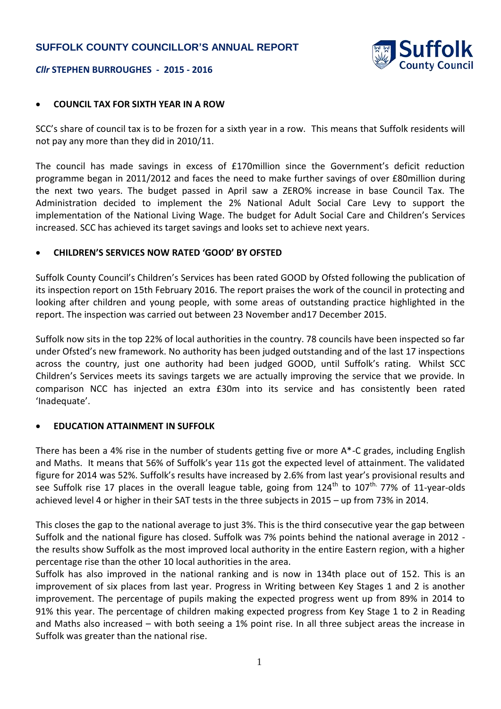## **SUFFOLK COUNTY COUNCILLOR'S ANNUAL REPORT**



#### *Cllr* **STEPHEN BURROUGHES - 2015 - 2016**

### **COUNCIL TAX FOR SIXTH YEAR IN A ROW**

SCC's share of council tax is to be frozen for a sixth year in a row. This means that Suffolk residents will not pay any more than they did in 2010/11.

The council has made savings in excess of £170million since the Government's deficit reduction programme began in 2011/2012 and faces the need to make further savings of over £80million during the next two years. The budget passed in April saw a ZERO% increase in base Council Tax. The Administration decided to implement the 2% National Adult Social Care Levy to support the implementation of the National Living Wage. The budget for Adult Social Care and Children's Services increased. SCC has achieved its target savings and looks set to achieve next years.

#### **CHILDREN'S SERVICES NOW RATED 'GOOD' BY OFSTED**

Suffolk County Council's Children's Services has been rated GOOD by Ofsted following the publication of its inspection report on 15th February 2016. The report praises the work of the council in protecting and looking after children and young people, with some areas of outstanding practice highlighted in the report. The inspection was carried out between 23 November and17 December 2015.

Suffolk now sits in the top 22% of local authorities in the country. 78 councils have been inspected so far under Ofsted's new framework. No authority has been judged outstanding and of the last 17 inspections across the country, just one authority had been judged GOOD, until Suffolk's rating. Whilst SCC Children's Services meets its savings targets we are actually improving the service that we provide. In comparison NCC has injected an extra £30m into its service and has consistently been rated 'Inadequate'.

#### **EDUCATION ATTAINMENT IN SUFFOLK**

There has been a 4% rise in the number of students getting five or more A\*-C grades, including English and Maths. It means that 56% of Suffolk's year 11s got the expected level of attainment. The validated figure for 2014 was 52%. Suffolk's results have increased by 2.6% from last year's provisional results and see Suffolk rise 17 places in the overall league table, going from  $124<sup>th</sup>$  to  $107<sup>th</sup>$ . 77% of 11-year-olds achieved level 4 or higher in their SAT tests in the three subjects in 2015 – up from 73% in 2014.

This closes the gap to the national average to just 3%. This is the third consecutive year the gap between Suffolk and the national figure has closed. Suffolk was 7% points behind the national average in 2012 the results show Suffolk as the most improved local authority in the entire Eastern region, with a higher percentage rise than the other 10 local authorities in the area.

Suffolk has also improved in the national ranking and is now in 134th place out of 152. This is an improvement of six places from last year. Progress in Writing between Key Stages 1 and 2 is another improvement. The percentage of pupils making the expected progress went up from 89% in 2014 to 91% this year. The percentage of children making expected progress from Key Stage 1 to 2 in Reading and Maths also increased – with both seeing a 1% point rise. In all three subject areas the increase in Suffolk was greater than the national rise.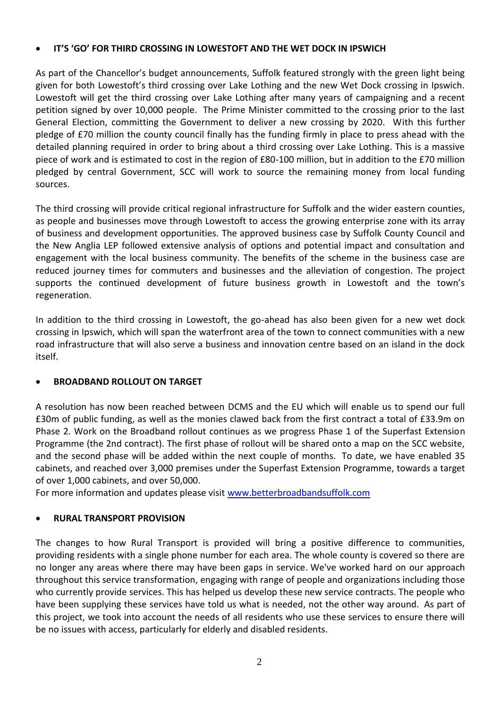## **IT'S 'GO' FOR THIRD CROSSING IN LOWESTOFT AND THE WET DOCK IN IPSWICH**

As part of the Chancellor's budget announcements, Suffolk featured strongly with the green light being given for both Lowestoft's third crossing over Lake Lothing and the new Wet Dock crossing in Ipswich. Lowestoft will get the third crossing over Lake Lothing after many years of campaigning and a recent petition signed by over 10,000 people. The Prime Minister committed to the crossing prior to the last General Election, committing the Government to deliver a new crossing by 2020. With this further pledge of £70 million the county council finally has the funding firmly in place to press ahead with the detailed planning required in order to bring about a third crossing over Lake Lothing. This is a massive piece of work and is estimated to cost in the region of £80-100 million, but in addition to the £70 million pledged by central Government, SCC will work to source the remaining money from local funding sources.

The third crossing will provide critical regional infrastructure for Suffolk and the wider eastern counties, as people and businesses move through Lowestoft to access the growing enterprise zone with its array of business and development opportunities. The approved business case by Suffolk County Council and the New Anglia LEP followed extensive analysis of options and potential impact and consultation and engagement with the local business community. The benefits of the scheme in the business case are reduced journey times for commuters and businesses and the alleviation of congestion. The project supports the continued development of future business growth in Lowestoft and the town's regeneration.

In addition to the third crossing in Lowestoft, the go-ahead has also been given for a new wet dock crossing in Ipswich, which will span the waterfront area of the town to connect communities with a new road infrastructure that will also serve a business and innovation centre based on an island in the dock itself.

# **BROADBAND ROLLOUT ON TARGET**

A resolution has now been reached between DCMS and the EU which will enable us to spend our full £30m of public funding, as well as the monies clawed back from the first contract a total of £33.9m on Phase 2. Work on the Broadband rollout continues as we progress Phase 1 of the Superfast Extension Programme (the 2nd contract). The first phase of rollout will be shared onto a map on the SCC website, and the second phase will be added within the next couple of months. To date, we have enabled 35 cabinets, and reached over 3,000 premises under the Superfast Extension Programme, towards a target of over 1,000 cabinets, and over 50,000.

For more information and updates please visit [www.betterbroadbandsuffolk.com](http://www.betterbroadbandsuffolk.com/)

# **RURAL TRANSPORT PROVISION**

The changes to how Rural Transport is provided will bring a positive difference to communities, providing residents with a single phone number for each area. The whole county is covered so there are no longer any areas where there may have been gaps in service. We've worked hard on our approach throughout this service transformation, engaging with range of people and organizations including those who currently provide services. This has helped us develop these new service contracts. The people who have been supplying these services have told us what is needed, not the other way around. As part of this project, we took into account the needs of all residents who use these services to ensure there will be no issues with access, particularly for elderly and disabled residents.